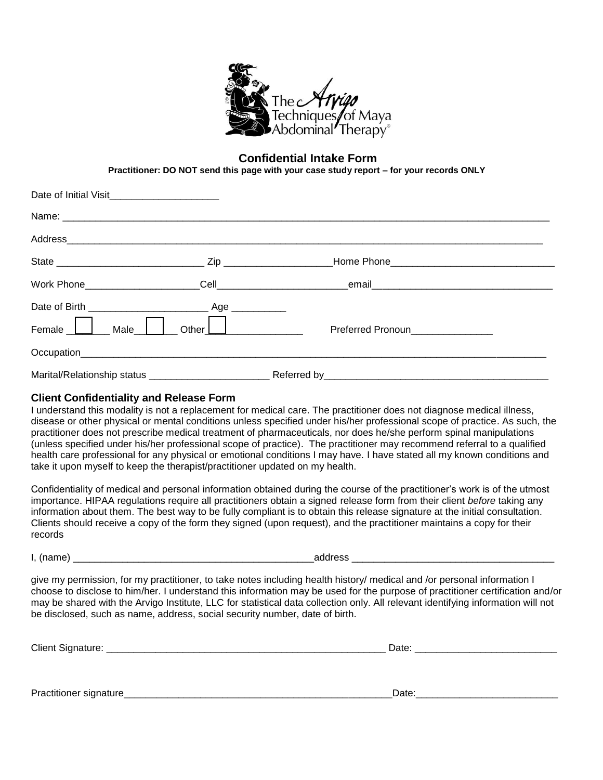

#### **Confidential Intake Form**

**Practitioner: DO NOT send this page with your case study report – for your records ONLY** 

| Date of Initial Visit_________________________ |         |                                                                                                                                                                                                                                      |  |
|------------------------------------------------|---------|--------------------------------------------------------------------------------------------------------------------------------------------------------------------------------------------------------------------------------------|--|
|                                                |         |                                                                                                                                                                                                                                      |  |
|                                                |         |                                                                                                                                                                                                                                      |  |
|                                                |         |                                                                                                                                                                                                                                      |  |
| Work Phone_____________________                |         |                                                                                                                                                                                                                                      |  |
|                                                |         |                                                                                                                                                                                                                                      |  |
| Female <u>U</u><br>Male                        | Other [ | <u>and the state of the state of the state of the state of the state of the state of the state of the state of the state of the state of the state of the state of the state of the state of the state of the state of the state</u> |  |
|                                                |         |                                                                                                                                                                                                                                      |  |
|                                                |         |                                                                                                                                                                                                                                      |  |

#### **Client Confidentiality and Release Form**

I understand this modality is not a replacement for medical care. The practitioner does not diagnose medical illness, disease or other physical or mental conditions unless specified under his/her professional scope of practice. As such, the practitioner does not prescribe medical treatment of pharmaceuticals, nor does he/she perform spinal manipulations (unless specified under his/her professional scope of practice). The practitioner may recommend referral to a qualified health care professional for any physical or emotional conditions I may have. I have stated all my known conditions and take it upon myself to keep the therapist/practitioner updated on my health.

Confidentiality of medical and personal information obtained during the course of the practitioner's work is of the utmost importance. HIPAA regulations require all practitioners obtain a signed release form from their client *before* taking any information about them. The best way to be fully compliant is to obtain this release signature at the initial consultation. Clients should receive a copy of the form they signed (upon request), and the practitioner maintains a copy for their records

I, (name) address  $\blacksquare$ 

give my permission, for my practitioner, to take notes including health history/ medical and /or personal information I choose to disclose to him/her. I understand this information may be used for the purpose of practitioner certification and/or may be shared with the Arvigo Institute, LLC for statistical data collection only. All relevant identifying information will not be disclosed, such as name, address, social security number, date of birth.

| Client Signature: | Date: |  |
|-------------------|-------|--|
|                   |       |  |
|                   |       |  |

Practitioner signature\_\_\_\_\_\_\_\_\_\_\_\_\_\_\_\_\_\_\_\_\_\_\_\_\_\_\_\_\_\_\_\_\_\_\_\_\_\_\_\_\_\_\_\_\_\_\_\_\_Date:\_\_\_\_\_\_\_\_\_\_\_\_\_\_\_\_\_\_\_\_\_\_\_\_\_\_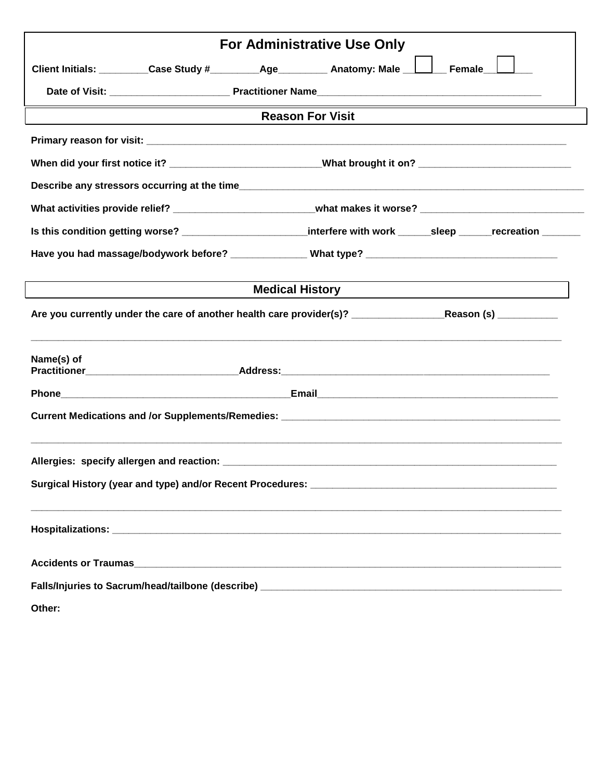|                                                                                                                   |  |                        | For Administrative Use Only                                                                                    |  |  |
|-------------------------------------------------------------------------------------------------------------------|--|------------------------|----------------------------------------------------------------------------------------------------------------|--|--|
|                                                                                                                   |  |                        | Client Initials: _________Case Study #_________Age_________ Anatomy: Male _______ Female_                      |  |  |
|                                                                                                                   |  |                        |                                                                                                                |  |  |
|                                                                                                                   |  |                        | <b>Reason For Visit</b>                                                                                        |  |  |
|                                                                                                                   |  |                        |                                                                                                                |  |  |
|                                                                                                                   |  |                        | When did your first notice it? __________________________What brought it on? _________________________________ |  |  |
|                                                                                                                   |  |                        |                                                                                                                |  |  |
|                                                                                                                   |  |                        | What activities provide relief? ___________________________what makes it worse? ______________________________ |  |  |
|                                                                                                                   |  |                        | Is this condition getting worse? ________________________interfere with work _____sleep _____recreation ______ |  |  |
|                                                                                                                   |  |                        |                                                                                                                |  |  |
|                                                                                                                   |  | <b>Medical History</b> |                                                                                                                |  |  |
| Are you currently under the care of another health care provider(s)? _______________________Reason (s) __________ |  |                        |                                                                                                                |  |  |
| Name(s) of                                                                                                        |  |                        |                                                                                                                |  |  |
|                                                                                                                   |  |                        |                                                                                                                |  |  |
|                                                                                                                   |  |                        |                                                                                                                |  |  |
|                                                                                                                   |  |                        |                                                                                                                |  |  |
|                                                                                                                   |  |                        |                                                                                                                |  |  |
|                                                                                                                   |  |                        |                                                                                                                |  |  |
|                                                                                                                   |  |                        |                                                                                                                |  |  |
|                                                                                                                   |  |                        |                                                                                                                |  |  |
| Other:                                                                                                            |  |                        |                                                                                                                |  |  |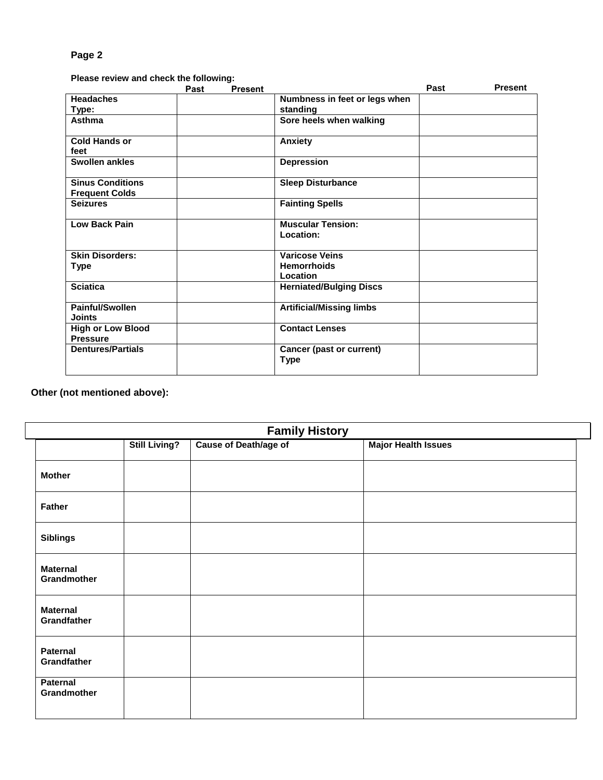**Please review and check the following:** 

|                                                  | Past | <b>Present</b> |                                                         | Past | <b>Present</b> |
|--------------------------------------------------|------|----------------|---------------------------------------------------------|------|----------------|
| <b>Headaches</b>                                 |      |                | Numbness in feet or legs when                           |      |                |
| Type:                                            |      |                | standing                                                |      |                |
| Asthma                                           |      |                | Sore heels when walking                                 |      |                |
| <b>Cold Hands or</b><br>feet                     |      |                | Anxiety                                                 |      |                |
| Swollen ankles                                   |      |                | <b>Depression</b>                                       |      |                |
| <b>Sinus Conditions</b><br><b>Frequent Colds</b> |      |                | <b>Sleep Disturbance</b>                                |      |                |
| <b>Seizures</b>                                  |      |                | <b>Fainting Spells</b>                                  |      |                |
| <b>Low Back Pain</b>                             |      |                | <b>Muscular Tension:</b><br>Location:                   |      |                |
| <b>Skin Disorders:</b><br>Type                   |      |                | <b>Varicose Veins</b><br><b>Hemorrhoids</b><br>Location |      |                |
| <b>Sciatica</b>                                  |      |                | <b>Herniated/Bulging Discs</b>                          |      |                |
| Painful/Swollen<br><b>Joints</b>                 |      |                | <b>Artificial/Missing limbs</b>                         |      |                |
| <b>High or Low Blood</b><br><b>Pressure</b>      |      |                | <b>Contact Lenses</b>                                   |      |                |
| <b>Dentures/Partials</b>                         |      |                | Cancer (past or current)<br><b>Type</b>                 |      |                |

**Other (not mentioned above):**

| <b>Family History</b>          |                      |                       |                            |  |  |  |
|--------------------------------|----------------------|-----------------------|----------------------------|--|--|--|
|                                | <b>Still Living?</b> | Cause of Death/age of | <b>Major Health Issues</b> |  |  |  |
| <b>Mother</b>                  |                      |                       |                            |  |  |  |
| <b>Father</b>                  |                      |                       |                            |  |  |  |
| <b>Siblings</b>                |                      |                       |                            |  |  |  |
| <b>Maternal</b><br>Grandmother |                      |                       |                            |  |  |  |
| <b>Maternal</b><br>Grandfather |                      |                       |                            |  |  |  |
| <b>Paternal</b><br>Grandfather |                      |                       |                            |  |  |  |
| <b>Paternal</b><br>Grandmother |                      |                       |                            |  |  |  |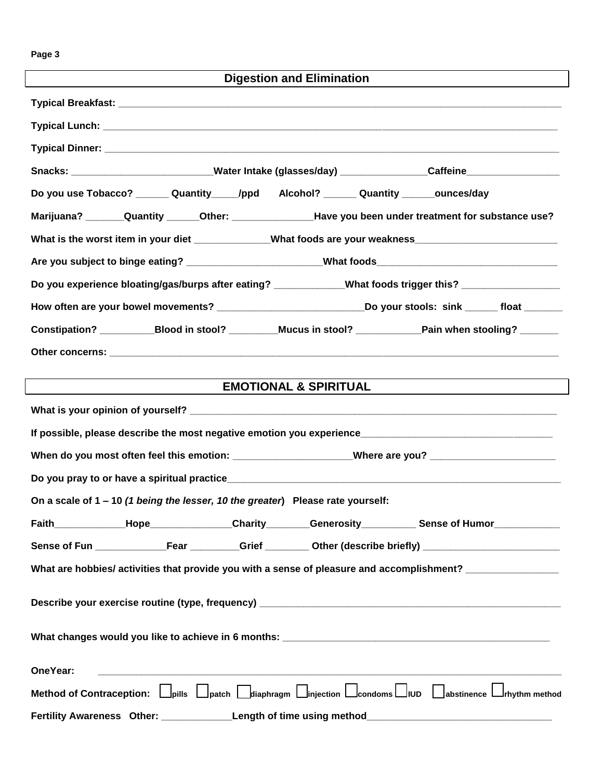| <b>Digestion and Elimination</b>                                                                              |
|---------------------------------------------------------------------------------------------------------------|
|                                                                                                               |
|                                                                                                               |
|                                                                                                               |
| Snacks: ____________________________Water Intake (glasses/day) _______________Caffeine___________________     |
| Do you use Tobacco? _______ Quantity_____/ppd Alcohol? ______ Quantity ______ounces/day                       |
| Marijuana? _______Quantity ______Other: __________________Have you been under treatment for substance use?    |
| What is the worst item in your diet ___________What foods are your weakness_________________________          |
| Are you subject to binge eating? ________________________What foods_________________________________          |
| Do you experience bloating/gas/burps after eating? ___________What foods trigger this? ___________________    |
| How often are your bowel movements? _____________________________Do your stools: sink ______ float _______    |
| Constipation? ____________Blood in stool? __________Mucus in stool? ____________Pain when stooling? _______   |
|                                                                                                               |
|                                                                                                               |
| <b>EMOTIONAL &amp; SPIRITUAL</b>                                                                              |
|                                                                                                               |
|                                                                                                               |
| When do you most often feel this emotion: ___________________Where are you? ________________________          |
|                                                                                                               |
| On a scale of 1 - 10 (1 being the lesser, 10 the greater) Please rate yourself:                               |
| Faith______________Hope________________Charity_________Generosity___________Sense of Humor______________      |
| Sense of Fun _______________Fear _________Grief _________ Other (describe briefly) __________________________ |
| What are hobbies/ activities that provide you with a sense of pleasure and accomplishment? _______________    |
|                                                                                                               |
|                                                                                                               |
|                                                                                                               |
|                                                                                                               |
|                                                                                                               |
| OneYear:                                                                                                      |
| Method of Contraception: Dpills Dpatch Ddiaphragm Dinjection Dcondoms DIUD Dabstinence Drhythm method         |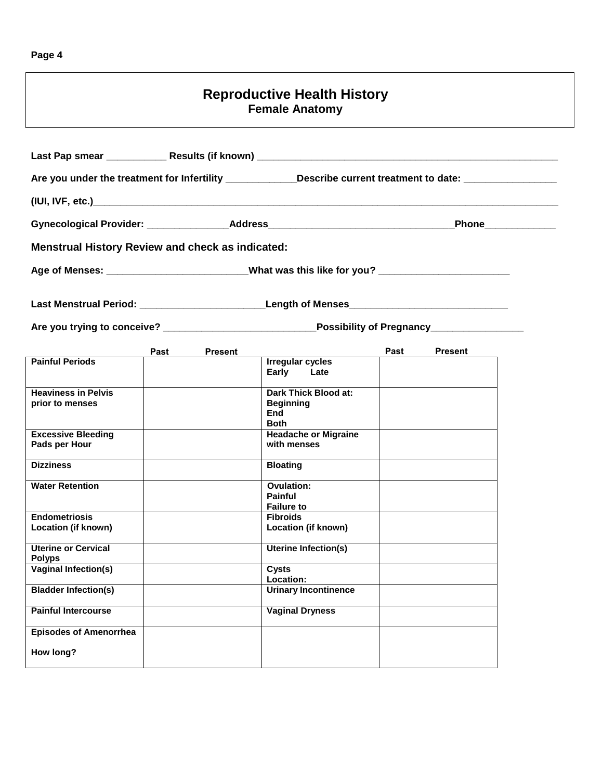### **Reproductive Health History Female Anatomy**

| Are you under the treatment for Infertility _____________Describe current treatment to date: ________________ |                        |                                                                                                      |      |                    |  |  |
|---------------------------------------------------------------------------------------------------------------|------------------------|------------------------------------------------------------------------------------------------------|------|--------------------|--|--|
|                                                                                                               |                        |                                                                                                      |      |                    |  |  |
|                                                                                                               |                        |                                                                                                      |      | Phone_____________ |  |  |
| <b>Menstrual History Review and check as indicated:</b>                                                       |                        |                                                                                                      |      |                    |  |  |
|                                                                                                               |                        | Age of Menses: ___________________________What was this like for you? _____________________________  |      |                    |  |  |
|                                                                                                               |                        |                                                                                                      |      |                    |  |  |
|                                                                                                               |                        | Are you trying to conceive? _________________________________Possibility of Pregnancy_______________ |      |                    |  |  |
|                                                                                                               | Past<br><b>Present</b> |                                                                                                      | Past | <b>Present</b>     |  |  |
| <b>Painful Periods</b>                                                                                        |                        | <b>Irregular cycles</b><br>Early Late                                                                |      |                    |  |  |
| <b>Heaviness in Pelvis</b><br>prior to menses                                                                 |                        | Dark Thick Blood at:<br><b>Beginning</b><br>End<br><b>Both</b>                                       |      |                    |  |  |
| <b>Excessive Bleeding</b><br>Pads per Hour                                                                    |                        | <b>Headache or Migraine</b><br>with menses                                                           |      |                    |  |  |
| <b>Dizziness</b>                                                                                              |                        | <b>Bloating</b>                                                                                      |      |                    |  |  |
| <b>Water Retention</b>                                                                                        |                        | <b>Ovulation:</b><br><b>Painful</b><br><b>Failure to</b>                                             |      |                    |  |  |
| <b>Endometriosis</b><br>Location (if known)                                                                   |                        | <b>Fibroids</b><br>Location (if known)                                                               |      |                    |  |  |
| <b>Uterine or Cervical</b><br><b>Polyps</b>                                                                   |                        | <b>Uterine Infection(s)</b>                                                                          |      |                    |  |  |
| Vaginal Infection(s)                                                                                          |                        | Cysts<br>Location:                                                                                   |      |                    |  |  |
| <b>Bladder Infection(s)</b>                                                                                   |                        | <b>Urinary Incontinence</b>                                                                          |      |                    |  |  |
| <b>Painful Intercourse</b>                                                                                    |                        | <b>Vaginal Dryness</b>                                                                               |      |                    |  |  |
| <b>Episodes of Amenorrhea</b>                                                                                 |                        |                                                                                                      |      |                    |  |  |
| How long?                                                                                                     |                        |                                                                                                      |      |                    |  |  |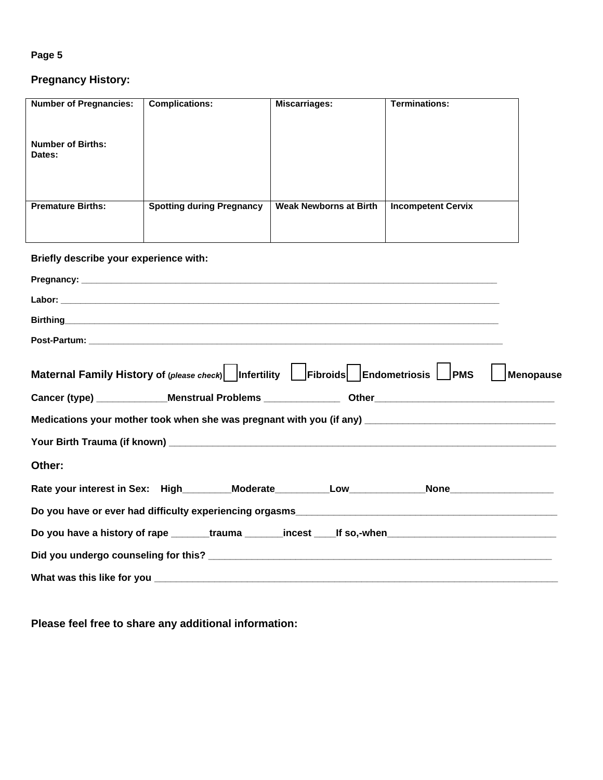## **Pregnancy History:**

| <b>Number of Pregnancies:</b>          | <b>Complications:</b>                                                                    | <b>Miscarriages:</b>          | <b>Terminations:</b>      |           |  |  |  |
|----------------------------------------|------------------------------------------------------------------------------------------|-------------------------------|---------------------------|-----------|--|--|--|
| <b>Number of Births:</b><br>Dates:     |                                                                                          |                               |                           |           |  |  |  |
| <b>Premature Births:</b>               |                                                                                          | <b>Weak Newborns at Birth</b> |                           |           |  |  |  |
|                                        | <b>Spotting during Pregnancy</b>                                                         |                               | <b>Incompetent Cervix</b> |           |  |  |  |
|                                        |                                                                                          |                               |                           |           |  |  |  |
| Briefly describe your experience with: |                                                                                          |                               |                           |           |  |  |  |
|                                        |                                                                                          |                               |                           |           |  |  |  |
|                                        |                                                                                          |                               |                           |           |  |  |  |
|                                        |                                                                                          |                               |                           |           |  |  |  |
|                                        |                                                                                          |                               |                           |           |  |  |  |
|                                        | Maternal Family History of (please check)   Infertility   Fibroids   Endometriosis   PMS |                               |                           | Menopause |  |  |  |
|                                        |                                                                                          |                               |                           |           |  |  |  |
|                                        |                                                                                          |                               |                           |           |  |  |  |
|                                        |                                                                                          |                               |                           |           |  |  |  |
| Other:                                 |                                                                                          |                               |                           |           |  |  |  |
|                                        |                                                                                          |                               |                           |           |  |  |  |
|                                        |                                                                                          |                               |                           |           |  |  |  |
|                                        |                                                                                          |                               |                           |           |  |  |  |
|                                        |                                                                                          |                               |                           |           |  |  |  |
|                                        |                                                                                          |                               |                           |           |  |  |  |

**Please feel free to share any additional information:**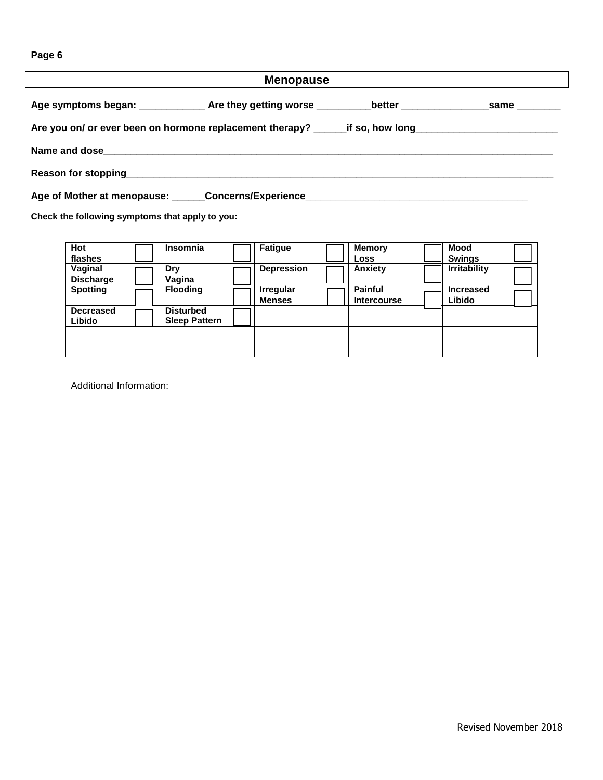| <b>Menopause</b>                                                                                               |  |  |  |  |  |  |
|----------------------------------------------------------------------------------------------------------------|--|--|--|--|--|--|
| Age symptoms began: ______________Are they getting worse ___________better ________________same _________      |  |  |  |  |  |  |
| Are you on/ or ever been on hormone replacement therapy? _______if so, how long_______________________________ |  |  |  |  |  |  |
|                                                                                                                |  |  |  |  |  |  |
| Reason for stopping<br><u>Example 20</u> Texas and the stopping                                                |  |  |  |  |  |  |
|                                                                                                                |  |  |  |  |  |  |

**Check the following symptoms that apply to you:** 

| Hot<br>flashes              | Insomnia                                 | <b>Fatigue</b>                    | Memory<br>Loss                       | <b>Mood</b><br><b>Swings</b> |  |
|-----------------------------|------------------------------------------|-----------------------------------|--------------------------------------|------------------------------|--|
| Vaginal<br><b>Discharge</b> | Drv<br>Vagina                            | <b>Depression</b>                 | Anxiety                              | <b>Irritability</b>          |  |
| <b>Spotting</b>             | <b>Flooding</b>                          | <b>Irregular</b><br><b>Menses</b> | <b>Painful</b><br><b>Intercourse</b> | <b>Increased</b><br>Libido   |  |
| <b>Decreased</b><br>Libido  | <b>Disturbed</b><br><b>Sleep Pattern</b> |                                   |                                      |                              |  |
|                             |                                          |                                   |                                      |                              |  |

Additional Information: